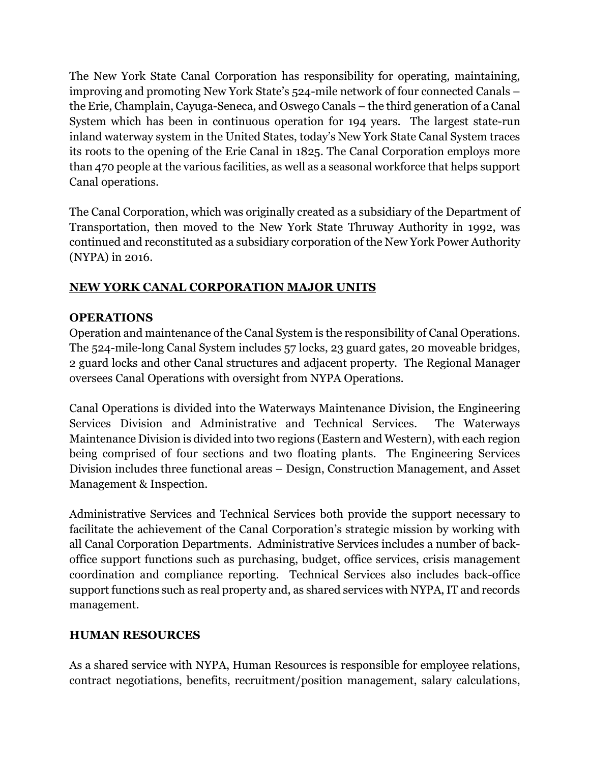The New York State Canal Corporation has responsibility for operating, maintaining, improving and promoting New York State's 524-mile network of four connected Canals – the Erie, Champlain, Cayuga-Seneca, and Oswego Canals – the third generation of a Canal System which has been in continuous operation for 194 years. The largest state-run inland waterway system in the United States, today's New York State Canal System traces its roots to the opening of the Erie Canal in 1825. The Canal Corporation employs more than 470 people at the various facilities, as well as a seasonal workforce that helps support Canal operations.

The Canal Corporation, which was originally created as a subsidiary of the Department of Transportation, then moved to the New York State Thruway Authority in 1992, was continued and reconstituted as a subsidiary corporation of the New York Power Authority (NYPA) in 2016.

## **NEW YORK CANAL CORPORATION MAJOR UNITS**

## **OPERATIONS**

Operation and maintenance of the Canal System is the responsibility of Canal Operations. The 524-mile-long Canal System includes 57 locks, 23 guard gates, 20 moveable bridges, 2 guard locks and other Canal structures and adjacent property. The Regional Manager oversees Canal Operations with oversight from NYPA Operations.

Canal Operations is divided into the Waterways Maintenance Division, the Engineering Services Division and Administrative and Technical Services. The Waterways Maintenance Division is divided into two regions (Eastern and Western), with each region being comprised of four sections and two floating plants. The Engineering Services Division includes three functional areas – Design, Construction Management, and Asset Management & Inspection.

Administrative Services and Technical Services both provide the support necessary to facilitate the achievement of the Canal Corporation's strategic mission by working with all Canal Corporation Departments. Administrative Services includes a number of backoffice support functions such as purchasing, budget, office services, crisis management coordination and compliance reporting. Technical Services also includes back-office support functions such as real property and, as shared services with NYPA, IT and records management.

## **HUMAN RESOURCES**

As a shared service with NYPA, Human Resources is responsible for employee relations, contract negotiations, benefits, recruitment/position management, salary calculations,